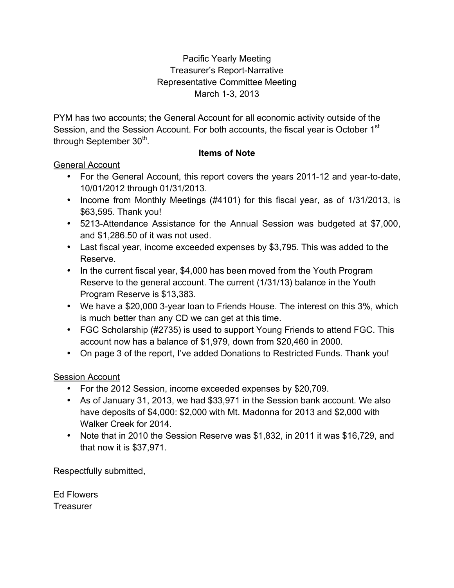#### Pacific Yearly Meeting Treasurer's Report-Narrative Representative Committee Meeting March 1-3, 2013

PYM has two accounts; the General Account for all economic activity outside of the Session, and the Session Account. For both accounts, the fiscal year is October 1<sup>st</sup> through September 30<sup>th</sup>.

#### **Items of Note**

#### General Account

- For the General Account, this report covers the years 2011-12 and year-to-date, 10/01/2012 through 01/31/2013.
- Income from Monthly Meetings (#4101) for this fiscal year, as of 1/31/2013, is \$63,595. Thank you!
- 5213-Attendance Assistance for the Annual Session was budgeted at \$7,000, and \$1,286.50 of it was not used.
- Last fiscal year, income exceeded expenses by \$3,795. This was added to the Reserve.
- In the current fiscal year, \$4,000 has been moved from the Youth Program Reserve to the general account. The current (1/31/13) balance in the Youth Program Reserve is \$13,383.
- We have a \$20,000 3-year loan to Friends House. The interest on this 3%, which is much better than any CD we can get at this time.
- FGC Scholarship (#2735) is used to support Young Friends to attend FGC. This account now has a balance of \$1,979, down from \$20,460 in 2000.
- On page 3 of the report, I've added Donations to Restricted Funds. Thank you!

#### Session Account

- For the 2012 Session, income exceeded expenses by \$20,709.
- As of January 31, 2013, we had \$33,971 in the Session bank account. We also have deposits of \$4,000: \$2,000 with Mt. Madonna for 2013 and \$2,000 with Walker Creek for 2014.
- Note that in 2010 the Session Reserve was \$1,832, in 2011 it was \$16,729, and that now it is \$37,971.

Respectfully submitted,

Ed Flowers **Treasurer**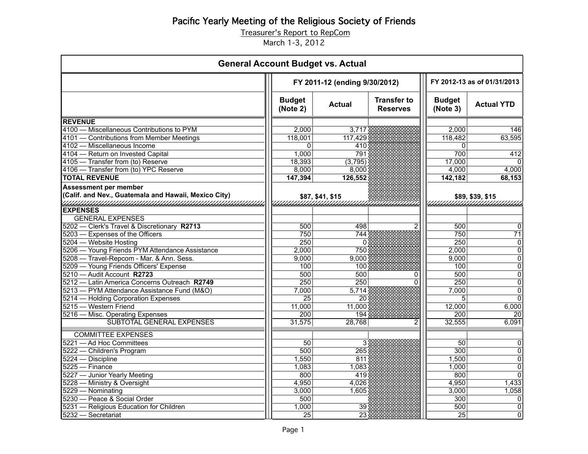Treasurer's Report to RepCom

March 1-3, 2012

| <b>General Account Budget vs. Actual</b>             |                               |                  |                                       |                             |                   |
|------------------------------------------------------|-------------------------------|------------------|---------------------------------------|-----------------------------|-------------------|
|                                                      | FY 2011-12 (ending 9/30/2012) |                  |                                       | FY 2012-13 as of 01/31/2013 |                   |
|                                                      | <b>Budget</b><br>(Note 2)     | <b>Actual</b>    | <b>Transfer to</b><br><b>Reserves</b> | <b>Budget</b><br>(Note 3)   | <b>Actual YTD</b> |
| <b>REVENUE</b>                                       |                               |                  |                                       |                             |                   |
| 4100 - Miscellaneous Contributions to PYM            | 2,000                         | 3,717            |                                       | 2,000                       | 146               |
| 4101 - Contributions from Member Meetings            | 118,001                       | 117,429          |                                       | 118,482                     | 63,595            |
| 4102 - Miscellaneous Income                          | 0                             | 410              |                                       | 0                           |                   |
| 4104 - Return on Invested Capital                    | 1,000                         | 791              |                                       | 700                         | 412               |
| 4105 - Transfer from (to) Reserve                    | 18,393                        | (3,795)          |                                       | 17,000                      |                   |
| 4106 - Transfer from (to) YPC Reserve                | 8,000                         | 8,000            |                                       | 4,000                       | 4,000             |
| <b>TOTAL REVENUE</b>                                 | 147,394                       | 126,552          |                                       | 142,182                     | 68,153            |
| <b>Assessment per member</b>                         |                               |                  |                                       |                             |                   |
| (Calif. and Nev., Guatemala and Hawaii, Mexico City) |                               | \$87, \$41, \$15 |                                       |                             | \$89, \$39, \$15  |
| a mana mana mana mana mana mana mana                 |                               |                  |                                       |                             |                   |
| <b>EXPENSES</b>                                      |                               |                  |                                       |                             |                   |
| <b>GENERAL EXPENSES</b>                              |                               |                  |                                       |                             |                   |
| 5202 - Clerk's Travel & Discretionary R2713          | 500                           | 498              | $\overline{2}$                        | 500                         | $\Omega$          |
| 5203 - Expenses of the Officers                      | 750                           | 744              |                                       | 750                         | $\overline{71}$   |
| 5204 - Website Hosting                               | 250                           | 0                |                                       | 250                         | $\mathbf 0$       |
| 5206 - Young Friends PYM Attendance Assistance       | 2,000                         | 750              |                                       | 2,000                       | $\mathbf 0$       |
| 5208 - Travel-Repcom - Mar. & Ann. Sess.             | 9,000                         | 9,000            |                                       | 9,000                       | $\overline{0}$    |
| 5209 - Young Friends Officers' Expense               | 100                           | 100              |                                       | 100                         | $\overline{0}$    |
| 5210 - Audit Account R2723                           | 500                           | 500              | 0                                     | 500                         | $\overline{0}$    |
| 5212 — Latin America Concerns Outreach R2749         | 250                           | $\overline{250}$ | 0                                     | $\overline{250}$            | $\overline{0}$    |
| 5213 - PYM Attendance Assistance Fund (M&O)          | 7,000                         | 5,714            |                                       | 7,000                       | $\overline{0}$    |
| 5214 - Holding Corporation Expenses                  | $\overline{25}$               | 20               |                                       | 5                           | $\overline{0}$    |
| 5215 - Western Friend                                | 11,000                        | 11,000           |                                       | 12,000                      | 6,000             |
| 5216 - Misc. Operating Expenses                      | 200                           | 194              |                                       | $\overline{200}$            | 20                |
| SUBTOTAL GENERAL EXPENSES                            | 31,575                        | 28,768           | 2                                     | 32,555                      | 6,091             |
| <b>COMMITTEE EXPENSES</b>                            |                               |                  |                                       |                             |                   |
| 5221 - Ad Hoc Committees                             | $\overline{50}$               | 3 <sup>1</sup>   |                                       | $\overline{50}$             | 0                 |
| 5222 - Children's Program                            | 500                           | 265              |                                       | 300                         | $\Omega$          |
| 5224 - Discipline                                    | 1,550                         | 811              |                                       | 1,500                       | $\overline{0}$    |
| $5225 -$ Finance                                     | 1,083                         | 1,083            |                                       | 1,000                       | $\mathbf 0$       |
| 5227 - Junior Yearly Meeting                         | 800                           | 419              |                                       | 800                         | $\Omega$          |
| 5228 - Ministry & Oversight                          | 4,950                         | 4,026            |                                       | 4,950                       | 1,433             |
| 5229 - Nominating                                    | 3,000                         | 1,605            |                                       | 3,000                       | 1,058             |
| 5230 - Peace & Social Order                          | 500                           |                  |                                       | 300                         | $\mathbf 0$       |
| 5231 - Religious Education for Children              | 1,000                         | 39               |                                       | 500                         | $\mathbf 0$       |
| 5232 - Secretariat                                   | $\overline{25}$               | $\overline{23}$  |                                       | $\overline{25}$             | $\overline{0}$    |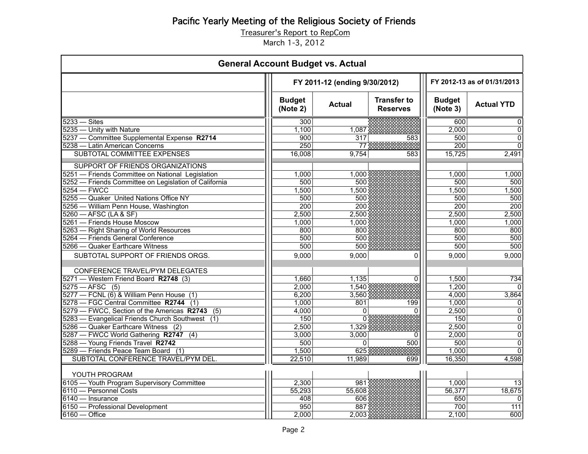Treasurer's Report to RepCom

March 1-3, 2012

| <b>General Account Budget vs. Actual</b>                                 |                           |                               |                                       |                           |                             |  |
|--------------------------------------------------------------------------|---------------------------|-------------------------------|---------------------------------------|---------------------------|-----------------------------|--|
|                                                                          |                           | FY 2011-12 (ending 9/30/2012) |                                       |                           | FY 2012-13 as of 01/31/2013 |  |
|                                                                          | <b>Budget</b><br>(Note 2) | <b>Actual</b>                 | <b>Transfer to</b><br><b>Reserves</b> | <b>Budget</b><br>(Note 3) | <b>Actual YTD</b>           |  |
| $5233 - Sites$                                                           | 300                       |                               |                                       | 600                       | 0                           |  |
| 5235 - Unity with Nature                                                 | 1,100                     | 1,087                         |                                       | 2,000                     | $\overline{0}$              |  |
| 5237 - Committee Supplemental Expense R2714                              | 900                       | 317                           | 583                                   | 500                       | $\Omega$                    |  |
| 5238 - Latin American Concerns                                           | 250                       | 77                            |                                       | $\overline{200}$          | $\Omega$                    |  |
| SUBTOTAL COMMITTEE EXPENSES                                              | 16,008                    | 9,754                         | 583                                   | 15,725                    | 2,491                       |  |
| SUPPORT OF FRIENDS ORGANIZATIONS                                         |                           |                               |                                       |                           |                             |  |
| 5251 - Friends Committee on National Legislation                         | 1,000                     | 1,000                         |                                       | 1,000                     | 1,000                       |  |
| 5252 - Friends Committee on Legislation of California                    | 500                       | 500                           |                                       | 500                       | 500                         |  |
| $5254 - FWCC$                                                            | 1,500                     | 1,500                         |                                       | 1,500                     | 1,500                       |  |
| 5255 - Quaker United Nations Office NY                                   | 500                       | 500                           |                                       | 500                       | 500                         |  |
| 5256 - William Penn House, Washington                                    | 200                       | $\overline{200}$              |                                       | 200                       | 200                         |  |
| 5260 - AFSC (LA & SF)                                                    | 2,500                     | 2,500                         |                                       | 2,500                     | 2,500                       |  |
| 5261 - Friends House Moscow                                              | 1,000                     | 1,000                         |                                       | 1,000                     | 1,000                       |  |
| 5263 - Right Sharing of World Resources                                  | 800                       | 800                           |                                       | 800                       | 800                         |  |
| 5264 - Friends General Conference                                        | 500                       | 500                           |                                       | 500                       | 500                         |  |
| 5266 - Quaker Earthcare Witness                                          | 500                       | 500                           |                                       | 500                       | 500                         |  |
| SUBTOTAL SUPPORT OF FRIENDS ORGS.                                        | 9,000                     | 9,000                         | 0                                     | 9,000                     | 9,000                       |  |
|                                                                          |                           |                               |                                       |                           |                             |  |
| CONFERENCE TRAVEL/PYM DELEGATES                                          |                           |                               |                                       |                           |                             |  |
| 5271 - Western Friend Board R2748 (3)                                    | 1,660                     | 1,135                         | 0                                     | 1,500                     | 734                         |  |
| $5275 - AFSC$ (5)                                                        | 2,000                     | 1,540                         |                                       | 1,200                     |                             |  |
| 5277 - FCNL (6) & William Penn House (1)                                 | 6,200                     | 3,560                         |                                       | 4,000                     | 3,864                       |  |
| 5278 - FGC Central Committee R2744 (1)                                   | 1,000                     | 801                           | 199                                   | 1,000                     | $\Omega$                    |  |
| 5279 - FWCC, Section of the Americas R2743 (5)                           | 4,000                     | 0                             | 0                                     | 2,500                     | 0                           |  |
| 5283 - Evangelical Friends Church Southwest (1)                          | 150                       | $\Omega$                      |                                       | 150                       | 0                           |  |
| 5286 — Quaker Earthcare Witness (2)                                      | 2,500                     | 1,329                         |                                       | 2,500                     | $\pmb{0}$                   |  |
| 5287 - FWCC World Gathering R2747 (4)                                    | 3,000<br>500              | 3,000                         | 0<br>500                              | 2,000<br>500              | 0                           |  |
| 5288 - Young Friends Travel R2742<br>5289 - Friends Peace Team Board (1) | 1,500                     | 0<br>625                      |                                       | 1,000                     | 0<br>$\Omega$               |  |
| SUBTOTAL CONFERENCE TRAVEL/PYM DEL.                                      |                           |                               | 699                                   | 16,350                    | 4,598                       |  |
|                                                                          | 22,510                    | 11,989                        |                                       |                           |                             |  |
| YOUTH PROGRAM                                                            |                           |                               |                                       |                           |                             |  |
| 6105 - Youth Program Supervisory Committee                               | 2,300                     | 981                           |                                       | 1,000                     | 13                          |  |
| 6110 - Personnel Costs                                                   | 55,293                    | 55,608                        |                                       | 56,377                    | 18,675                      |  |
| $6140 - Insurance$                                                       | 408                       | 606                           |                                       | 650                       | $\Omega$                    |  |
| 6150 - Professional Development                                          | 950                       | 887                           |                                       | 700                       | $\overline{111}$            |  |
| $6160 -$ Office                                                          | 2,000                     | 2,003                         |                                       | 2,100                     | 600                         |  |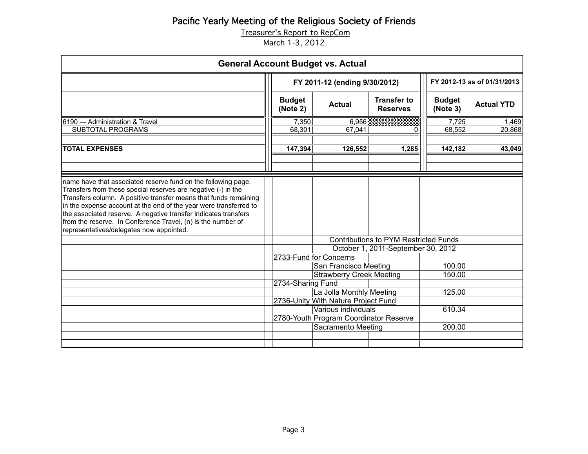Treasurer's Report to RepCom

March 1-3, 2012

|                                                                                                                                                                                                                                                                                                                                                                                                                                                        |                           | <b>General Account Budget vs. Actual</b>                                           |                                       |                           |                   |
|--------------------------------------------------------------------------------------------------------------------------------------------------------------------------------------------------------------------------------------------------------------------------------------------------------------------------------------------------------------------------------------------------------------------------------------------------------|---------------------------|------------------------------------------------------------------------------------|---------------------------------------|---------------------------|-------------------|
|                                                                                                                                                                                                                                                                                                                                                                                                                                                        |                           | FY 2011-12 (ending 9/30/2012)                                                      | FY 2012-13 as of 01/31/2013           |                           |                   |
|                                                                                                                                                                                                                                                                                                                                                                                                                                                        | <b>Budget</b><br>(Note 2) | <b>Actual</b>                                                                      | <b>Transfer to</b><br><b>Reserves</b> | <b>Budget</b><br>(Note 3) | <b>Actual YTD</b> |
| 6190 - Administration & Travel<br><b>SUBTOTAL PROGRAMS</b>                                                                                                                                                                                                                                                                                                                                                                                             | 7,350<br>68,301           | 6,956<br>67,041                                                                    | 0                                     | 7,725<br>68,552           | 1,469<br>20,868   |
| <b>TOTAL EXPENSES</b>                                                                                                                                                                                                                                                                                                                                                                                                                                  | 147,394                   | 126,552                                                                            | 1,285                                 | 142,182                   | 43,049            |
| name have that associated reserve fund on the following page.<br>Transfers from these special reserves are negative (-) in the<br>Transfers column. A positive transfer means that funds remaining<br>in the expense account at the end of the year were transferred to<br>the associated reserve. A negative transfer indicates transfers<br>from the reserve. In Conference Travel, (n) is the number of<br>representatives/delegates now appointed. |                           |                                                                                    |                                       |                           |                   |
|                                                                                                                                                                                                                                                                                                                                                                                                                                                        |                           | <b>Contributions to PYM Restricted Funds</b>                                       |                                       |                           |                   |
|                                                                                                                                                                                                                                                                                                                                                                                                                                                        |                           | 2733-Fund for Concerns<br>San Francisco Meeting<br><b>Strawberry Creek Meeting</b> | October 1, 2011-September 30, 2012    | 100.00<br>150.00          |                   |
|                                                                                                                                                                                                                                                                                                                                                                                                                                                        | 2734-Sharing Fund         |                                                                                    |                                       |                           |                   |
|                                                                                                                                                                                                                                                                                                                                                                                                                                                        |                           | La Jolla Monthly Meeting                                                           |                                       | 125.00                    |                   |
|                                                                                                                                                                                                                                                                                                                                                                                                                                                        |                           | 2736-Unity With Nature Project Fund<br>Various individuals                         |                                       | 610.34                    |                   |
|                                                                                                                                                                                                                                                                                                                                                                                                                                                        |                           | 2780-Youth Program Coordinator Reserve                                             |                                       |                           |                   |
|                                                                                                                                                                                                                                                                                                                                                                                                                                                        |                           | <b>Sacramento Meeting</b>                                                          |                                       | 200.00                    |                   |
|                                                                                                                                                                                                                                                                                                                                                                                                                                                        |                           |                                                                                    |                                       |                           |                   |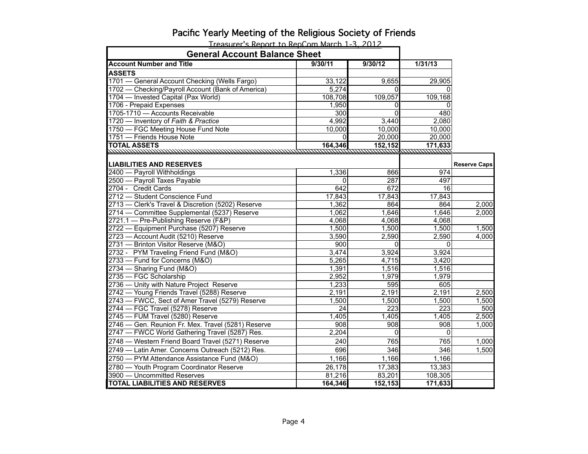| <b>General Account Balance Sheet</b>               |                  |                  |                 |                     |
|----------------------------------------------------|------------------|------------------|-----------------|---------------------|
| <b>Account Number and Title</b>                    | 9/30/11          | 9/30/12          | 1/31/13         |                     |
| <b>ASSETS</b>                                      |                  |                  |                 |                     |
| 1701 - General Account Checking (Wells Fargo)      | 33,122           | 9,655            | 29,905          |                     |
| 1702 - Checking/Payroll Account (Bank of America)  | 5,274            | $\Omega$         | $\Omega$        |                     |
| 1704 - Invested Capital (Pax World)                | 108,708          | 109,057          | 109,168         |                     |
| 1706 - Prepaid Expenses                            | 1,950            | 0                | $\Omega$        |                     |
| 1705-1710 - Accounts Receivable                    | $\overline{300}$ | $\overline{0}$   | 480             |                     |
| 1720 - Inventory of Faith & Practice               | 4,992            | 3,440            | 2,080           |                     |
| 1750 - FGC Meeting House Fund Note                 | 10,000           | 10,000           | 10,000          |                     |
| 1751 - Friends House Note                          | $\Omega$         | 20,000           | 20,000          |                     |
| <b>TOTAL ASSETS</b>                                | 164,346          | 152,152          | 171,633         |                     |
|                                                    |                  |                  |                 |                     |
| <b>LIABILITIES AND RESERVES</b>                    |                  |                  |                 | <b>Reserve Caps</b> |
| 2400 - Payroll Withholdings                        | 1,336            | 866              | 974             |                     |
| 2500 - Payroll Taxes Payable                       | 0                | 287              | 497             |                     |
| 2704 - Credit Cards                                | 642              | 672              | $\overline{16}$ |                     |
| 2712 - Student Conscience Fund                     | 17,843           | 17,843           | 17,843          |                     |
| 2713 - Clerk's Travel & Discretion (5202) Reserve  | 1,362            | 864              | 864             | 2,000               |
| 2714 - Committee Supplemental (5237) Reserve       | 1,062            | 1,646            | 1,646           | 2,000               |
| 2721.1 - Pre-Publishing Reserve (F&P)              | 4,068            | 4,068            | 4,068           |                     |
| 2722 - Equipment Purchase (5207) Reserve           | 1,500            | 1,500            | 1,500           | 1,500               |
| 2723 - Account Audit (5210) Reserve                | 3,590            | 2,590            | 2,590           | 4,000               |
| 2731 - Brinton Visitor Reserve (M&O)               | 900              | $\Omega$         | 0               |                     |
| 2732 - PYM Traveling Friend Fund (M&O)             | 3,474            | 3,924            | 3,924           |                     |
| 2733 - Fund for Concerns (M&O)                     | 5,265            | 4,715            | 3,420           |                     |
| 2734 - Sharing Fund (M&O)                          | 1,391            | 1,516            | 1,516           |                     |
| 2735 - FGC Scholarship                             | 2,952            | 1,979            | 1,979           |                     |
| 2736 - Unity with Nature Project Reserve           | 1,233            | 595              | 605             |                     |
| 2742 - Young Friends Travel (5288) Reserve         | 2,191            | 2,191            | 2,191           | 2,500               |
| 2743 - FWCC, Sect of Amer Travel (5279) Reserve    | 1,500            | 1,500            | 1,500           | 1,500               |
| 2744 - FGC Travel (5278) Reserve                   | 24               | $\overline{223}$ | 223             | 500                 |
| 2745 - FUM Travel (5280) Reserve                   | 1,405            | 1,405            | 1,405           | 2,500               |
| 2746 - Gen. Reunion Fr. Mex. Travel (5281) Reserve | 908              | 908              | 908             | 1,000               |
| 2747 - FWCC World Gathering Travel (5287) Res.     | 2,204            | $\Omega$         | $\Omega$        |                     |
| 2748 - Western Friend Board Travel (5271) Reserve  | 240              | 765              | 765             | 1,000               |
| 2749 - Latin Amer. Concerns Outreach (5212) Res.   | 696              | 346              | 346             | 1,500               |
| 2750 - PYM Attendance Assistance Fund (M&O)        | 1,166            | 1,166            | 1,166           |                     |
| 2780 - Youth Program Coordinator Reserve           | 26,178           | 17,383           | 13,383          |                     |
| 3900 - Uncommitted Reserves                        | 81,216           | 83,201           | 108,305         |                     |
| <b>TOTAL LIABILITIES AND RESERVES</b>              | 164,346          | 152,153          | 171,633         |                     |

Treasurer's Report to RepCom March 1-3, 2012